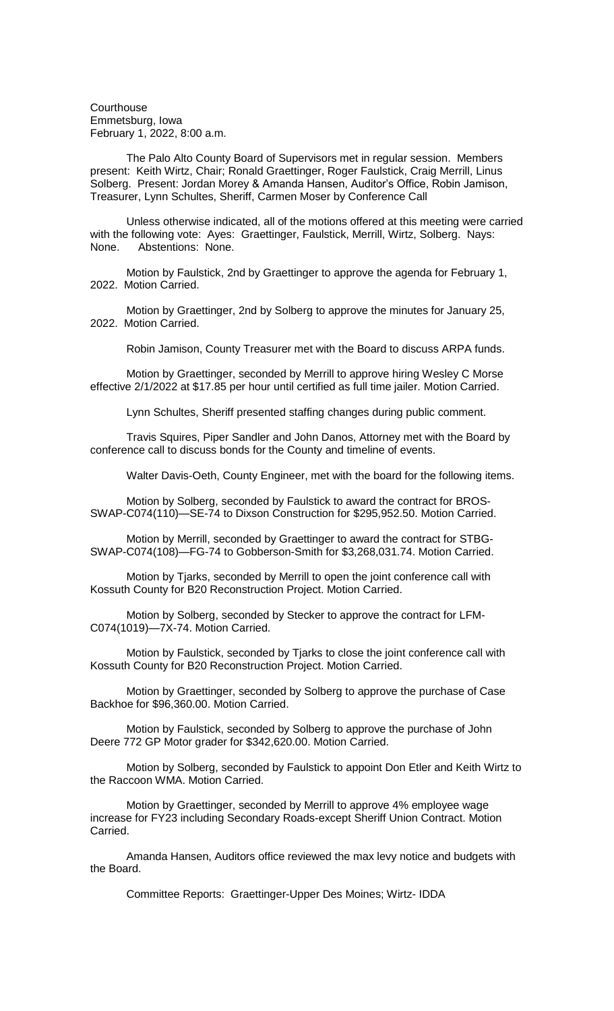**Courthouse** Emmetsburg, Iowa February 1, 2022, 8:00 a.m.

The Palo Alto County Board of Supervisors met in regular session. Members present: Keith Wirtz, Chair; Ronald Graettinger, Roger Faulstick, Craig Merrill, Linus Solberg. Present: Jordan Morey & Amanda Hansen, Auditor's Office, Robin Jamison, Treasurer, Lynn Schultes, Sheriff, Carmen Moser by Conference Call

Unless otherwise indicated, all of the motions offered at this meeting were carried with the following vote: Ayes: Graettinger, Faulstick, Merrill, Wirtz, Solberg. Nays: None. Abstentions: None.

Motion by Faulstick, 2nd by Graettinger to approve the agenda for February 1, 2022. Motion Carried.

Motion by Graettinger, 2nd by Solberg to approve the minutes for January 25, 2022. Motion Carried.

Robin Jamison, County Treasurer met with the Board to discuss ARPA funds.

Motion by Graettinger, seconded by Merrill to approve hiring Wesley C Morse effective 2/1/2022 at \$17.85 per hour until certified as full time jailer. Motion Carried.

Lynn Schultes, Sheriff presented staffing changes during public comment.

Travis Squires, Piper Sandler and John Danos, Attorney met with the Board by conference call to discuss bonds for the County and timeline of events.

Walter Davis-Oeth, County Engineer, met with the board for the following items.

Motion by Solberg, seconded by Faulstick to award the contract for BROS-SWAP-C074(110)—SE-74 to Dixson Construction for \$295,952.50. Motion Carried.

Motion by Merrill, seconded by Graettinger to award the contract for STBG-SWAP-C074(108)—FG-74 to Gobberson-Smith for \$3,268,031.74. Motion Carried.

Motion by Tjarks, seconded by Merrill to open the joint conference call with Kossuth County for B20 Reconstruction Project. Motion Carried.

Motion by Solberg, seconded by Stecker to approve the contract for LFM-C074(1019)—7X-74. Motion Carried.

Motion by Faulstick, seconded by Tjarks to close the joint conference call with Kossuth County for B20 Reconstruction Project. Motion Carried.

Motion by Graettinger, seconded by Solberg to approve the purchase of Case Backhoe for \$96,360.00. Motion Carried.

Motion by Faulstick, seconded by Solberg to approve the purchase of John Deere 772 GP Motor grader for \$342,620.00. Motion Carried.

Motion by Solberg, seconded by Faulstick to appoint Don Etler and Keith Wirtz to the Raccoon WMA. Motion Carried.

Motion by Graettinger, seconded by Merrill to approve 4% employee wage increase for FY23 including Secondary Roads-except Sheriff Union Contract. Motion Carried.

Amanda Hansen, Auditors office reviewed the max levy notice and budgets with the Board.

Committee Reports: Graettinger-Upper Des Moines; Wirtz- IDDA